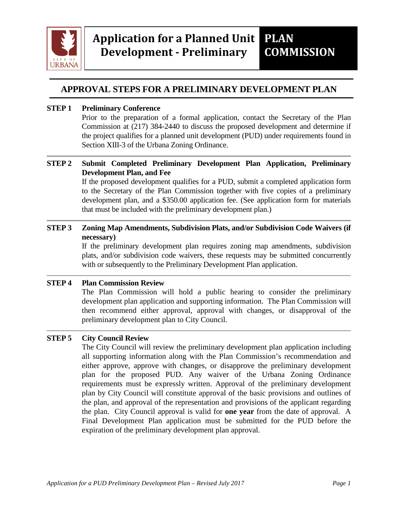

## **APPROVAL STEPS FOR A PRELIMINARY DEVELOPMENT PLAN**

## **STEP 1 Preliminary Conference**

Prior to the preparation of a formal application, contact the Secretary of the Plan Commission at (217) 384-2440 to discuss the proposed development and determine if the project qualifies for a planned unit development (PUD) under requirements found in Section XIII-3 of the Urbana Zoning Ordinance.

## **STEP 2 Submit Completed Preliminary Development Plan Application, Preliminary Development Plan, and Fee**

If the proposed development qualifies for a PUD, submit a completed application form to the Secretary of the Plan Commission together with five copies of a preliminary development plan, and a \$350.00 application fee. (See application form for materials that must be included with the preliminary development plan.)

## **STEP 3 Zoning Map Amendments, Subdivision Plats, and/or Subdivision Code Waivers (if necessary)**

If the preliminary development plan requires zoning map amendments, subdivision plats, and/or subdivision code waivers, these requests may be submitted concurrently with or subsequently to the Preliminary Development Plan application.

## **STEP 4 Plan Commission Review**

The Plan Commission will hold a public hearing to consider the preliminary development plan application and supporting information. The Plan Commission will then recommend either approval, approval with changes, or disapproval of the preliminary development plan to City Council.

## **STEP 5 City Council Review**

The City Council will review the preliminary development plan application including all supporting information along with the Plan Commission's recommendation and either approve, approve with changes, or disapprove the preliminary development plan for the proposed PUD. Any waiver of the Urbana Zoning Ordinance requirements must be expressly written. Approval of the preliminary development plan by City Council will constitute approval of the basic provisions and outlines of the plan, and approval of the representation and provisions of the applicant regarding the plan. City Council approval is valid for **one year** from the date of approval. A Final Development Plan application must be submitted for the PUD before the expiration of the preliminary development plan approval.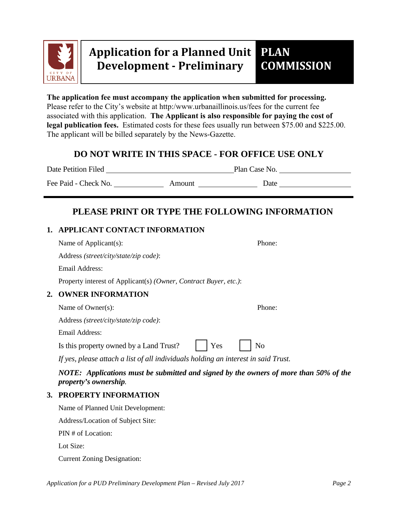

# **Application for a Planned Unit Development - Preliminary**

**The application fee must accompany the application when submitted for processing.**  Please refer to the City's website at http:/www.urbanaillinois.us/fees for the current fee associated with this application. **The Applicant is also responsible for paying the cost of legal publication fees.** Estimated costs for these fees usually run between \$75.00 and \$225.00. The applicant will be billed separately by the News-Gazette.

# **DO NOT WRITE IN THIS SPACE - FOR OFFICE USE ONLY**

Date Petition Filed Plan Case No.

Fee Paid - Check No. **Amount** Date Date

# **PLEASE PRINT OR TYPE THE FOLLOWING INFORMATION**

## **1. APPLICANT CONTACT INFORMATION**

|    | Name of Applicant $(s)$ :                                                          | Phone:         |
|----|------------------------------------------------------------------------------------|----------------|
|    | Address (street/city/state/zip code):                                              |                |
|    | Email Address:                                                                     |                |
|    | Property interest of Applicant(s) (Owner, Contract Buyer, etc.):                   |                |
| 2. | <b>OWNER INFORMATION</b>                                                           |                |
|    | Name of Owner(s):                                                                  | Phone:         |
|    | Address (street/city/state/zip code):                                              |                |
|    | Email Address:                                                                     |                |
|    | Yes<br>Is this property owned by a Land Trust?                                     | N <sub>0</sub> |
|    | If yes, please attach a list of all individuals holding an interest in said Trust. |                |

*NOTE: Applications must be submitted and signed by the owners of more than 50% of the property's ownership.*

## **3. PROPERTY INFORMATION**

Name of Planned Unit Development:

Address/Location of Subject Site:

PIN # of Location:

Lot Size:

Current Zoning Designation: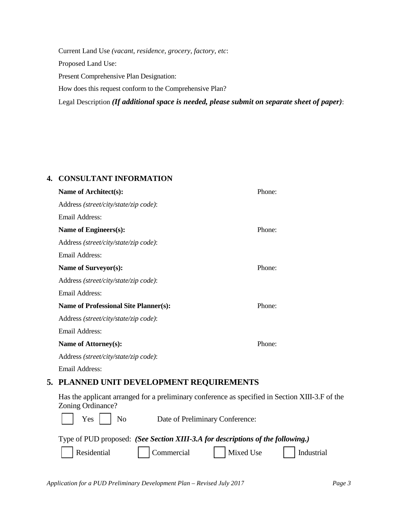Current Land Use *(vacant, residence, grocery, factory, etc*: Proposed Land Use: Present Comprehensive Plan Designation: How does this request conform to the Comprehensive Plan? Legal Description *(If additional space is needed, please submit on separate sheet of paper)*:

### **4. CONSULTANT INFORMATION**

|    | Name of Architect(s):                                                                                | Phone: |
|----|------------------------------------------------------------------------------------------------------|--------|
|    | Address (street/city/state/zip code):                                                                |        |
|    | Email Address:                                                                                       |        |
|    | Name of Engineers(s):                                                                                | Phone: |
|    | Address (street/city/state/zip code):                                                                |        |
|    | Email Address:                                                                                       |        |
|    | Name of Surveyor(s):                                                                                 | Phone: |
|    | Address (street/city/state/zip code):                                                                |        |
|    | Email Address:                                                                                       |        |
|    | <b>Name of Professional Site Planner(s):</b>                                                         | Phone: |
|    | Address (street/city/state/zip code):                                                                |        |
|    | Email Address:                                                                                       |        |
|    | Name of Attorney(s):                                                                                 | Phone: |
|    | Address (street/city/state/zip code):                                                                |        |
|    | <b>Email Address:</b>                                                                                |        |
| 5. | PLANNED UNIT DEVELOPMENT REQUIREMENTS                                                                |        |
|    | Has the applicant arranged for a preliminary conference as specified in Section<br>Zoning Ordinance? |        |

|                                                                                 | $\vert$ Yes $\vert$ No | Date of Preliminary Conference:             |  |  |  |
|---------------------------------------------------------------------------------|------------------------|---------------------------------------------|--|--|--|
| Type of PUD proposed: (See Section XIII-3.A for descriptions of the following.) |                        |                                             |  |  |  |
|                                                                                 |                        | Residential Commercial Mixed Use Industrial |  |  |  |

XIII-3.F of the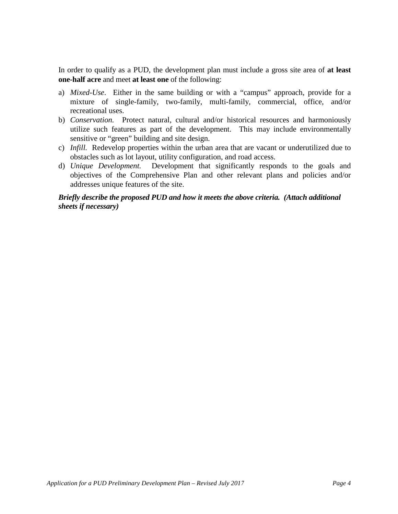In order to qualify as a PUD, the development plan must include a gross site area of **at least one-half acre** and meet **at least one** of the following:

- a) *Mixed-Use*. Either in the same building or with a "campus" approach, provide for a mixture of single-family, two-family, multi-family, commercial, office, and/or recreational uses.
- b) *Conservation.* Protect natural, cultural and/or historical resources and harmoniously utilize such features as part of the development. This may include environmentally sensitive or "green" building and site design.
- c) *Infill.* Redevelop properties within the urban area that are vacant or underutilized due to obstacles such as lot layout, utility configuration, and road access.
- d) *Unique Development.* Development that significantly responds to the goals and objectives of the Comprehensive Plan and other relevant plans and policies and/or addresses unique features of the site.

#### *Briefly describe the proposed PUD and how it meets the above criteria. (Attach additional sheets if necessary)*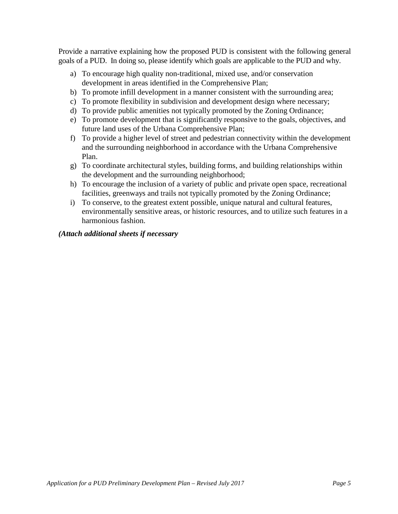Provide a narrative explaining how the proposed PUD is consistent with the following general goals of a PUD. In doing so, please identify which goals are applicable to the PUD and why.

- a) To encourage high quality non-traditional, mixed use, and/or conservation development in areas identified in the Comprehensive Plan;
- b) To promote infill development in a manner consistent with the surrounding area;
- c) To promote flexibility in subdivision and development design where necessary;
- d) To provide public amenities not typically promoted by the Zoning Ordinance;
- e) To promote development that is significantly responsive to the goals, objectives, and future land uses of the Urbana Comprehensive Plan;
- f) To provide a higher level of street and pedestrian connectivity within the development and the surrounding neighborhood in accordance with the Urbana Comprehensive Plan.
- g) To coordinate architectural styles, building forms, and building relationships within the development and the surrounding neighborhood;
- h) To encourage the inclusion of a variety of public and private open space, recreational facilities, greenways and trails not typically promoted by the Zoning Ordinance;
- i) To conserve, to the greatest extent possible, unique natural and cultural features, environmentally sensitive areas, or historic resources, and to utilize such features in a harmonious fashion.

### *(Attach additional sheets if necessary*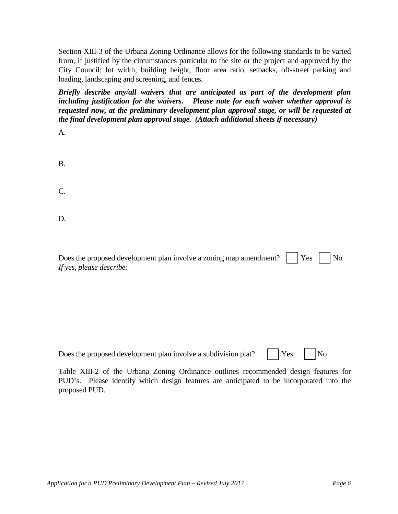Section XIII-3 of the Urbana Zoning Ordinance allows for the following standards to be varied from, if justified by the circumstances particular to the site or the project and approved by the City Council: lot width, building height, floor area ratio, setbacks, off-street parking and loading, landscaping and screening, and fences.

*Briefly describe any/all waivers that are anticipated as part of the development plan including justification for the waivers. Please note for each waiver whether approval is requested now, at the preliminary development plan approval stage, or will be requested at the final development plan approval stage. (Attach additional sheets if necessary)*

A.

B.

C.

D.

| Does the proposed development plan involve a zoning map amendment? $\Box$ Yes $\Box$ No |  |  |
|-----------------------------------------------------------------------------------------|--|--|
| If yes, please describe:                                                                |  |  |

Does the proposed development plan involve a subdivision plat?  $\parallel$  Yes  $\parallel$  No

Table XIII-2 of the Urbana Zoning Ordinance outlines recommended design features for PUD's. Please identify which design features are anticipated to be incorporated into the proposed PUD.